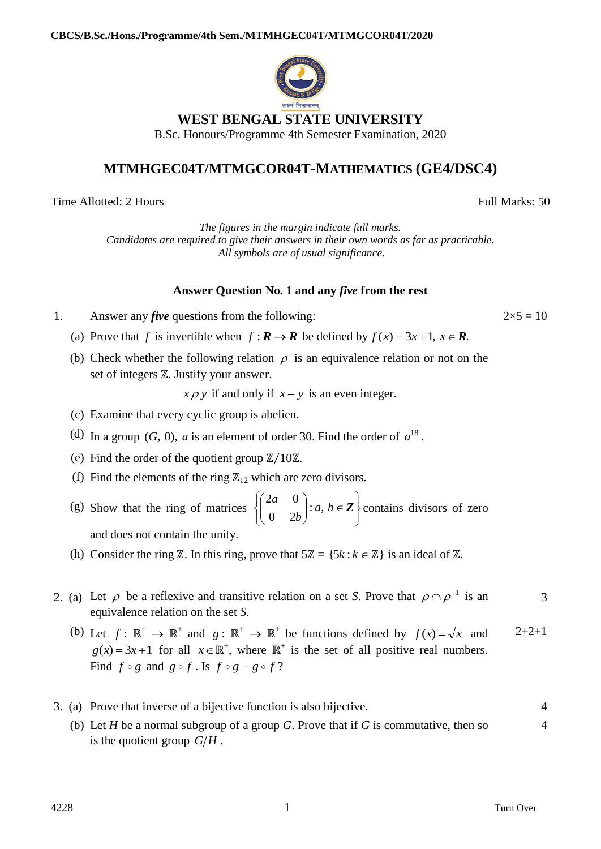

## **MTMHGEC04T/MTMGCOR04T-MATHEMATICS (GE4/DSC4)**

Time Allotted: 2 Hours Full Marks: 50

*The figures in the margin indicate full marks. Candidates are required to give their answers in their own words as far as practicable. All symbols are of usual significance.*

## **Answer Question No. 1 and any** *five* **from the rest**

- 1. Answer any *five* questions from the following:  $2 \times 5 = 10$ 
	- (a) Prove that *f* is invertible when  $f: \mathbf{R} \to \mathbf{R}$  be defined by  $f(x) = 3x + 1$ ,  $x \in \mathbf{R}$ .
	- (b) Check whether the following relation  $\rho$  is an equivalence relation or not on the set of integers  $\mathbb Z$ . Justify your answer.

 $x \rho y$  if and only if  $x - y$  is an even integer.

- (c) Examine that every cyclic group is abelien.
- (d) In a group  $(G, 0)$ , *a* is an element of order 30. Find the order of  $a^{18}$ .
- (e) Find the order of the quotient group ℤ∕10ℤ.
- (f) Find the elements of the ring  $\mathbb{Z}_{12}$  which are zero divisors.
- (g) Show that the ring of matrices J  $\left\{ \right.$  $\vert$  $\overline{\mathcal{L}}$  $\left\{ \right.$  $\int$  $\left| :a,b\in \right.$ J  $\setminus$  $\overline{\phantom{a}}$  $\setminus$ ſ  $a, b \in \mathbb{Z}$ *b a*  $: a,$ 0 2  $2a \quad 0$ contains divisors of zero and does not contain the unity.
- (h) Consider the ring  $\mathbb{Z}$ . In this ring, prove that  $5\mathbb{Z} = \{5k : k \in \mathbb{Z}\}\$ is an ideal of  $\mathbb{Z}$ .
- 2. (a) Let  $\rho$  be a reflexive and transitive relation on a set *S*. Prove that  $\rho \cap \rho^{-1}$  is an equivalence relation on the set *S*. 3
	- (b) Let  $f: \mathbb{R}^+ \to \mathbb{R}^+$  and  $g: \mathbb{R}^+ \to \mathbb{R}^+$  be functions defined by  $f(x) = \sqrt{x}$  and  $g(x) = 3x + 1$  for all  $x \in \mathbb{R}^+$ , where  $\mathbb{R}^+$  is the set of all positive real numbers. Find  $f \circ g$  and  $g \circ f$ . Is  $f \circ g = g \circ f$ ?  $2+2+1$

|  | 3. (a) Prove that inverse of a bijective function is also bijective.                 |  |
|--|--------------------------------------------------------------------------------------|--|
|  | (b) Let H be a normal subgroup of a group G. Prove that if G is commutative, then so |  |
|  | is the quotient group $G/H$ .                                                        |  |